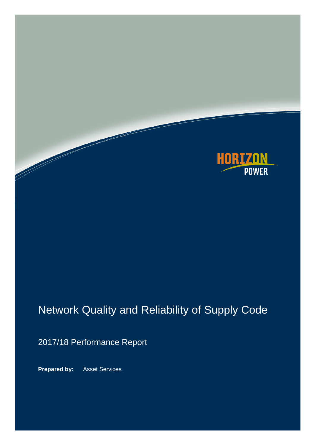

# Network Quality and Reliability of Supply Code

2017/18 Performance Report

**Prepared by:** Asset Services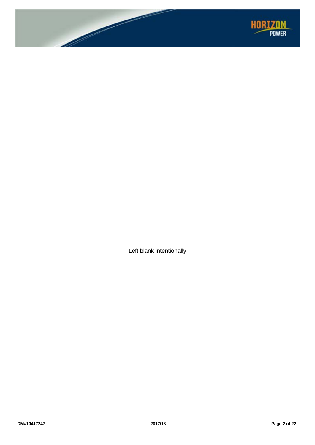

Left blank intentionally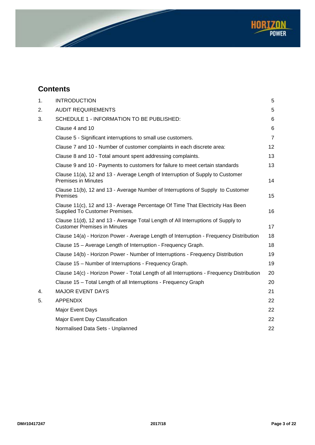

# **Contents**

D

| 1. | <b>INTRODUCTION</b>                                                                                                     | 5              |
|----|-------------------------------------------------------------------------------------------------------------------------|----------------|
| 2. | <b>AUDIT REQUIREMENTS</b>                                                                                               | 5              |
| 3. | SCHEDULE 1 - INFORMATION TO BE PUBLISHED:                                                                               | 6              |
|    | Clause 4 and 10                                                                                                         | 6              |
|    | Clause 5 - Significant interruptions to small use customers.                                                            | $\overline{7}$ |
|    | Clause 7 and 10 - Number of customer complaints in each discrete area:                                                  | 12             |
|    | Clause 8 and 10 - Total amount spent addressing complaints.                                                             | 13             |
|    | Clause 9 and 10 - Payments to customers for failure to meet certain standards                                           | 13             |
|    | Clause 11(a), 12 and 13 - Average Length of Interruption of Supply to Customer<br><b>Premises in Minutes</b>            | 14             |
|    | Clause 11(b), 12 and 13 - Average Number of Interruptions of Supply to Customer<br>Premises                             | 15             |
|    | Clause 11(c), 12 and 13 - Average Percentage Of Time That Electricity Has Been<br>Supplied To Customer Premises.        | 16             |
|    | Clause 11(d), 12 and 13 - Average Total Length of All Interruptions of Supply to<br><b>Customer Premises in Minutes</b> | 17             |
|    | Clause 14(a) - Horizon Power - Average Length of Interruption - Frequency Distribution                                  | 18             |
|    | Clause 15 - Average Length of Interruption - Frequency Graph.                                                           | 18             |
|    | Clause 14(b) - Horizon Power - Number of Interruptions - Frequency Distribution                                         | 19             |
|    | Clause 15 - Number of Interruptions - Frequency Graph.                                                                  | 19             |
|    | Clause 14(c) - Horizon Power - Total Length of all Interruptions - Frequency Distribution                               | 20             |
|    | Clause 15 - Total Length of all Interruptions - Frequency Graph                                                         | 20             |
| 4. | <b>MAJOR EVENT DAYS</b>                                                                                                 | 21             |
| 5. | <b>APPENDIX</b>                                                                                                         | 22             |
|    | Major Event Days                                                                                                        | 22             |
|    | Major Event Day Classification                                                                                          | 22             |
|    | Normalised Data Sets - Unplanned                                                                                        | 22             |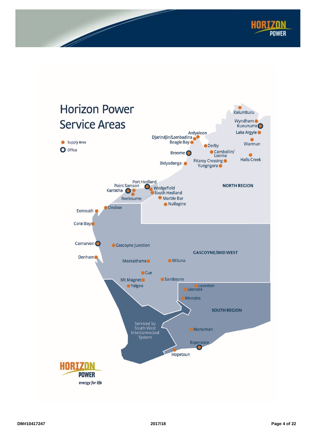

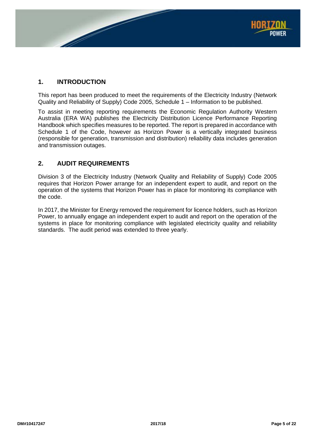

# <span id="page-4-0"></span>**1. INTRODUCTION**

This report has been produced to meet the requirements of the Electricity Industry (Network Quality and Reliability of Supply) Code 2005, Schedule 1 – Information to be published.

To assist in meeting reporting requirements the Economic Regulation Authority Western Australia (ERA WA) publishes the Electricity Distribution Licence Performance Reporting Handbook which specifies measures to be reported. The report is prepared in accordance with Schedule 1 of the Code, however as Horizon Power is a vertically integrated business (responsible for generation, transmission and distribution) reliability data includes generation and transmission outages.

# <span id="page-4-1"></span>**2. AUDIT REQUIREMENTS**

Division 3 of the Electricity Industry (Network Quality and Reliability of Supply) Code 2005 requires that Horizon Power arrange for an independent expert to audit, and report on the operation of the systems that Horizon Power has in place for monitoring its compliance with the code.

In 2017, the Minister for Energy removed the requirement for licence holders, such as Horizon Power, to annually engage an independent expert to audit and report on the operation of the systems in place for monitoring compliance with legislated electricity quality and reliability standards. The audit period was extended to three yearly.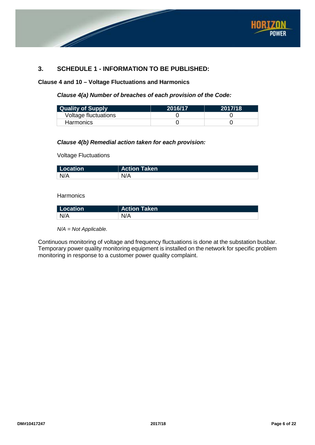

# <span id="page-5-0"></span>**3. SCHEDULE 1 - INFORMATION TO BE PUBLISHED:**

#### <span id="page-5-1"></span>**Clause 4 and 10 – Voltage Fluctuations and Harmonics**

#### *Clause 4(a) Number of breaches of each provision of the Code:*

| <b>Quality of Supply</b> | 2016/17 | 2017/18 |
|--------------------------|---------|---------|
| Voltage fluctuations     |         |         |
| Harmonics                |         |         |

#### *Clause 4(b) Remedial action taken for each provision:*

#### Voltage Fluctuations

| Location | <b>Action Taken</b> |
|----------|---------------------|
| N/A      | N/A                 |

#### **Harmonics**

| Location <sup>®</sup> | <b>Action Taken</b> |
|-----------------------|---------------------|
| N/A                   |                     |

*N/A = Not Applicable.*

Continuous monitoring of voltage and frequency fluctuations is done at the substation busbar. Temporary power quality monitoring equipment is installed on the network for specific problem monitoring in response to a customer power quality complaint.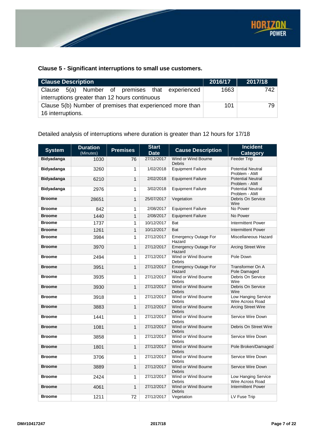

# <span id="page-6-0"></span>**Clause 5 - Significant interruptions to small use customers.**

| <b>Clause Description</b>                                 | 2016/17 | 2017/18 |
|-----------------------------------------------------------|---------|---------|
| Clause 5(a) Number of premises that<br>experienced        | 1663    | 742     |
| interruptions greater than 12 hours continuous            |         |         |
| Clause 5(b) Number of premises that experienced more than | 101     | 79      |
| 16 interruptions.                                         |         |         |

Detailed analysis of interruptions where duration is greater than 12 hours for 17/18

| <b>System</b>     | <b>Duration</b><br>(Minutes) | <b>Premises</b> | <b>Start</b><br><b>Date</b> | <b>Cause Description</b>              | <b>Incident</b><br><b>Category</b>        |
|-------------------|------------------------------|-----------------|-----------------------------|---------------------------------------|-------------------------------------------|
| <b>Bidyadanga</b> | 1030                         | 76              | 27/12/2017                  | Wind or Wind Bourne<br><b>Debris</b>  | <b>Feeder Trip</b>                        |
| <b>Bidyadanga</b> | 3260                         | 1               | 1/02/2018                   | <b>Equipment Failure</b>              | <b>Potential Neutral</b><br>Problem - AMI |
| <b>Bidyadanga</b> | 6210                         | $\mathbf{1}$    | 2/02/2018                   | <b>Equipment Failure</b>              | <b>Potential Neutral</b><br>Problem - AMI |
| Bidyadanga        | 2976                         | 1               | 3/02/2018                   | <b>Equipment Failure</b>              | <b>Potential Neutral</b><br>Problem - AMI |
| <b>Broome</b>     | 28651                        | $\mathbf{1}$    | 25/07/2017                  | Vegetation                            | Debris On Service<br>Wire                 |
| <b>Broome</b>     | 842                          | 1               | 2/08/2017                   | <b>Equipment Failure</b>              | No Power                                  |
| <b>Broome</b>     | 1440                         | $\mathbf{1}$    | 2/08/2017                   | <b>Equipment Failure</b>              | No Power                                  |
| <b>Broome</b>     | 1737                         | 1               | 10/12/2017                  | Bat                                   | <b>Intermittent Power</b>                 |
| <b>Broome</b>     | 1261                         | $\mathbf{1}$    | 10/12/2017                  | Bat                                   | <b>Intermittent Power</b>                 |
| <b>Broome</b>     | 3984                         | 1               | 27/12/2017                  | <b>Emergency Outage For</b><br>Hazard | Miscellaneous Hazard                      |
| <b>Broome</b>     | 3970                         | 1               | 27/12/2017                  | <b>Emergency Outage For</b><br>Hazard | <b>Arcing Street Wire</b>                 |
| <b>Broome</b>     | 2494                         | $\mathbf{1}$    | 27/12/2017                  | Wind or Wind Bourne<br><b>Debris</b>  | Pole Down                                 |
| <b>Broome</b>     | 3951                         | $\mathbf{1}$    | 27/12/2017                  | <b>Emergency Outage For</b><br>Hazard | Transformer On A<br>Pole Damaged          |
| <b>Broome</b>     | 3935                         | $\mathbf{1}$    | 27/12/2017                  | Wind or Wind Bourne<br><b>Debris</b>  | Debris On Service<br>Wire                 |
| <b>Broome</b>     | 3930                         | $\mathbf{1}$    | 27/12/2017                  | Wind or Wind Bourne<br><b>Debris</b>  | Debris On Service<br>Wire                 |
| <b>Broome</b>     | 3918                         | $\overline{1}$  | 27/12/2017                  | Wind or Wind Bourne<br><b>Debris</b>  | Low Hanging Service<br>Wire Across Road   |
| <b>Broome</b>     | 3883                         | $\mathbf{1}$    | 27/12/2017                  | Wind or Wind Bourne<br><b>Debris</b>  | <b>Arcing Street Wire</b>                 |
| <b>Broome</b>     | 1441                         | $\mathbf{1}$    | 27/12/2017                  | Wind or Wind Bourne<br>Debris         | Service Wire Down                         |
| <b>Broome</b>     | 1081                         | $\mathbf{1}$    | 27/12/2017                  | Wind or Wind Bourne<br><b>Debris</b>  | Debris On Street Wire                     |
| <b>Broome</b>     | 3858                         | 1               | 27/12/2017                  | Wind or Wind Bourne<br>Debris         | Service Wire Down                         |
| <b>Broome</b>     | 1801                         | $\mathbf{1}$    | 27/12/2017                  | Wind or Wind Bourne<br><b>Debris</b>  | Pole Broken/Damaged                       |
| <b>Broome</b>     | 3706                         | $\mathbf{1}$    | 27/12/2017                  | Wind or Wind Bourne<br><b>Debris</b>  | Service Wire Down                         |
| <b>Broome</b>     | 3889                         | $\mathbf{1}$    | 27/12/2017                  | Wind or Wind Bourne<br><b>Debris</b>  | Service Wire Down                         |
| <b>Broome</b>     | 2424                         | $\mathbf{1}$    | 27/12/2017                  | Wind or Wind Bourne<br><b>Debris</b>  | Low Hanging Service<br>Wire Across Road   |
| <b>Broome</b>     | 4061                         | $\mathbf{1}$    | 27/12/2017                  | Wind or Wind Bourne<br><b>Debris</b>  | <b>Intermittent Power</b>                 |
| <b>Broome</b>     | 1211                         | 72              | 27/12/2017                  | Vegetation                            | LV Fuse Trip                              |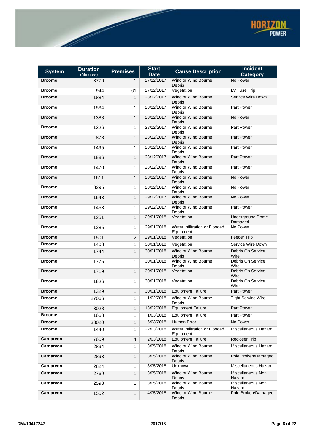

| <b>System</b> | <b>Duration</b><br>(Minutes) | <b>Premises</b> | <b>Start</b><br><b>Date</b> | <b>Cause Description</b>                   | <b>Incident</b><br><b>Category</b> |
|---------------|------------------------------|-----------------|-----------------------------|--------------------------------------------|------------------------------------|
| <b>Broome</b> | 3776                         | 1               | 27/12/2017                  | Wind or Wind Bourne                        | No Power                           |
| <b>Broome</b> | 944                          | 61              | 27/12/2017                  | Debris<br>Vegetation                       | LV Fuse Trip                       |
| <b>Broome</b> | 1884                         | 1               | 28/12/2017                  | Wind or Wind Bourne                        | Service Wire Down                  |
| <b>Broome</b> | 1534                         | 1               | 28/12/2017                  | <b>Debris</b><br>Wind or Wind Bourne       | <b>Part Power</b>                  |
| <b>Broome</b> |                              |                 |                             | <b>Debris</b>                              |                                    |
|               | 1388                         | $\mathbf{1}$    | 28/12/2017                  | Wind or Wind Bourne<br><b>Debris</b>       | No Power                           |
| <b>Broome</b> | 1326                         | $\mathbf{1}$    | 28/12/2017                  | Wind or Wind Bourne<br>Debris              | Part Power                         |
| <b>Broome</b> | 878                          | $\mathbf{1}$    | 28/12/2017                  | Wind or Wind Bourne<br><b>Debris</b>       | Part Power                         |
| <b>Broome</b> | 1495                         | 1               | 28/12/2017                  | Wind or Wind Bourne<br>Debris              | Part Power                         |
| <b>Broome</b> | 1536                         | $\mathbf{1}$    | 28/12/2017                  | Wind or Wind Bourne<br><b>Debris</b>       | <b>Part Power</b>                  |
| <b>Broome</b> | 1470                         | 1               | 28/12/2017                  | Wind or Wind Bourne<br>Debris              | Part Power                         |
| <b>Broome</b> | 1611                         | $\mathbf{1}$    | 28/12/2017                  | Wind or Wind Bourne<br><b>Debris</b>       | No Power                           |
| <b>Broome</b> | 8295                         | $\mathbf{1}$    | 28/12/2017                  | Wind or Wind Bourne<br>Debris              | No Power                           |
| <b>Broome</b> | 1643                         | $\mathbf{1}$    | 29/12/2017                  | Wind or Wind Bourne<br>Debris              | No Power                           |
| <b>Broome</b> | 1463                         | 1               | 29/12/2017                  | Wind or Wind Bourne<br>Debris              | <b>Part Power</b>                  |
| <b>Broome</b> | 1251                         | $\mathbf{1}$    | 29/01/2018                  | Vegetation                                 | <b>Underground Dome</b><br>Damaged |
| <b>Broome</b> | 1285                         | 1               | 29/01/2018                  | Water Infiltration or Flooded<br>Equipment | No Power                           |
| <b>Broome</b> | 1501                         | $\overline{c}$  | 29/01/2018                  | Vegetation                                 | Feeder Trip                        |
| <b>Broome</b> | 1408                         | 1               | 30/01/2018                  | Vegetation                                 | Service Wire Down                  |
| Broome        | 1744                         | $\mathbf{1}$    | 30/01/2018                  | Wind or Wind Bourne<br><b>Debris</b>       | Debris On Service<br>Wire          |
| <b>Broome</b> | 1775                         | 1               | 30/01/2018                  | Wind or Wind Bourne<br>Debris              | Debris On Service<br>Wire          |
| <b>Broome</b> | 1719                         | $\mathbf{1}$    | 30/01/2018                  | Vegetation                                 | Debris On Service<br>Wire          |
| <b>Broome</b> | 1626                         | 1               | 30/01/2018                  | Vegetation                                 | Debris On Service<br>Wire          |
| <b>Broome</b> | 1329                         | $\mathbf{1}$    | 30/01/2018                  | <b>Equipment Failure</b>                   | <b>Part Power</b>                  |
| <b>Broome</b> | 27066                        | 1               | 1/02/2018                   | Wind or Wind Bourne<br>Debris              | <b>Tight Service Wire</b>          |
| Broome        | 3028                         | $\mathbf{1}$    | 18/02/2018                  | <b>Equipment Failure</b>                   | Part Power                         |
| <b>Broome</b> | 1668                         | 1               | 1/03/2018                   | <b>Equipment Failure</b>                   | Part Power                         |
| <b>Broome</b> | 33020                        | 1               | 6/03/2018                   | Human Error                                | No Power                           |
| <b>Broome</b> | 1440                         | 1               | 22/03/2018                  | Water Infiltration or Flooded<br>Equipment | Miscellaneous Hazard               |
| Carnarvon     | 7609                         | $\overline{4}$  | 2/03/2018                   | <b>Equipment Failure</b>                   | <b>Recloser Trip</b>               |
| Carnarvon     | 2894                         | 1               | 3/05/2018                   | Wind or Wind Bourne<br>Debris              | Miscellaneous Hazard               |
| Carnarvon     | 2893                         | 1               | 3/05/2018                   | Wind or Wind Bourne<br><b>Debris</b>       | Pole Broken/Damaged                |
| Carnarvon     | 2824                         | 1               | 3/05/2018                   | Unknown                                    | Miscellaneous Hazard               |
| Carnarvon     | 2769                         | 1               | 3/05/2018                   | Wind or Wind Bourne<br>Debris              | Miscellaneous Non<br>Hazard        |
| Carnarvon     | 2598                         | 1               | 3/05/2018                   | Wind or Wind Bourne<br>Debris              | Miscellaneous Non<br>Hazard        |
| Carnarvon     | 1502                         | $\mathbf{1}$    | 4/05/2018                   | Wind or Wind Bourne<br>Debris              | Pole Broken/Damaged                |

 $\overline{\mathscr{M}}$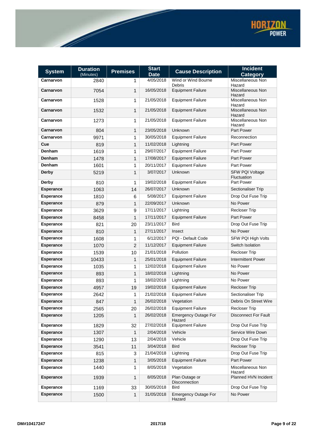

| <b>System</b>    | <b>Duration</b> | <b>Premises</b> | <b>Start</b>             | <b>Cause Description</b>              | <b>Incident</b>                |
|------------------|-----------------|-----------------|--------------------------|---------------------------------------|--------------------------------|
| Carnarvon        | (Minutes)       |                 | <b>Date</b><br>4/05/2018 | Wind or Wind Bourne                   | Category<br>Miscellaneous Non  |
|                  | 2840            | 1               |                          | Debris                                | Hazard                         |
| Carnarvon        | 7054            | 1               | 16/05/2018               | <b>Equipment Failure</b>              | Miscellaneous Non<br>Hazard    |
| Carnarvon        | 1528            | 1               | 21/05/2018               | <b>Equipment Failure</b>              | Miscellaneous Non<br>Hazard    |
| Carnarvon        | 1532            | $\mathbf{1}$    | 21/05/2018               | <b>Equipment Failure</b>              | Miscellaneous Non<br>Hazard    |
| Carnarvon        | 1273            | 1               | 21/05/2018               | <b>Equipment Failure</b>              | Miscellaneous Non<br>Hazard    |
| Carnarvon        | 804             | $\mathbf{1}$    | 23/05/2018               | Unknown                               | <b>Part Power</b>              |
| Carnarvon        | 9971            | 1               | 30/05/2018               | <b>Equipment Failure</b>              | Reconnection                   |
| Cue              | 819             | $\mathbf{1}$    | 11/02/2018               | Lightning                             | <b>Part Power</b>              |
| Denham           | 1619            | 1               | 29/07/2017               | <b>Equipment Failure</b>              | Part Power                     |
| Denham           | 1478            | $\mathbf{1}$    | 17/08/2017               | <b>Equipment Failure</b>              | Part Power                     |
| Denham           | 1601            | 1               | 20/11/2017               | <b>Equipment Failure</b>              | Part Power                     |
| <b>Derby</b>     | 5219            | $\mathbf{1}$    | 3/07/2017                | <b>Unknown</b>                        | SFW PQI Voltage<br>Fluctuation |
| Derby            | 810             | 1               | 19/02/2018               | <b>Equipment Failure</b>              | Part Power                     |
| <b>Esperance</b> | 1063            | 14              | 26/07/2017               | Unknown                               | Sectionaliser Trip             |
| <b>Esperance</b> | 1810            | 6               | 5/08/2017                | <b>Equipment Failure</b>              | Drop Out Fuse Trip             |
| <b>Esperance</b> | 879             | $\mathbf{1}$    | 22/09/2017               | Unknown                               | No Power                       |
| <b>Esperance</b> | 3629            | 9               | 17/11/2017               | Lightning                             | <b>Recloser Trip</b>           |
| <b>Esperance</b> | 8458            | $\mathbf{1}$    | 17/11/2017               | <b>Equipment Failure</b>              | <b>Part Power</b>              |
| <b>Esperance</b> | 821             | 20              | 23/11/2017               | <b>Bird</b>                           | Drop Out Fuse Trip             |
| <b>Esperance</b> | 810             | $\mathbf{1}$    | 27/11/2017               | Insect                                | No Power                       |
| <b>Esperance</b> | 1608            | 1               | 6/12/2017                | PQI - Default Code                    | SFW PQI High Volts             |
| Esperance        | 1070            | $\overline{2}$  | 11/12/2017               | <b>Equipment Failure</b>              | Switch Isolation               |
| <b>Esperance</b> | 1539            | 10              | 21/01/2018               | Pollution                             | <b>Recloser Trip</b>           |
| <b>Esperance</b> | 10433           | 1               | 25/01/2018               | <b>Equipment Failure</b>              | <b>Intermittent Power</b>      |
| <b>Esperance</b> | 1035            | 1               | 12/02/2018               | <b>Equipment Failure</b>              | No Power                       |
| <b>Esperance</b> | 893             | 1               | 18/02/2018               | Lightning                             | No Power                       |
| Esperance        | 893             | 1               | 18/02/2018               | Lightning                             | No Power                       |
| <b>Esperance</b> | 4957            | 19              | 19/02/2018               | <b>Equipment Failure</b>              | <b>Recloser Trip</b>           |
| <b>Esperance</b> | 2642            | 1               | 21/02/2018               | <b>Equipment Failure</b>              | Sectionaliser Trip             |
| Esperance        | 847             | $\overline{1}$  | 26/02/2018               | Vegetation                            | Debris On Street Wire          |
| Esperance        | 2565            | 20              | 26/02/2018               | <b>Equipment Failure</b>              | <b>Recloser Trip</b>           |
| <b>Esperance</b> | 1205            | 1               | 26/02/2018               | <b>Emergency Outage For</b><br>Hazard | <b>Disconnect For Fault</b>    |
| <b>Esperance</b> | 1829            | 32              | 27/02/2018               | <b>Equipment Failure</b>              | Drop Out Fuse Trip             |
| <b>Esperance</b> | 1307            | 1               | 2/04/2018                | Vehicle                               | Service Wire Down              |
| <b>Esperance</b> | 1290            | 13              | 2/04/2018                | Vehicle                               | Drop Out Fuse Trip             |
| <b>Esperance</b> | 3541            | 11              | 3/04/2018                | <b>Bird</b>                           | <b>Recloser Trip</b>           |
| <b>Esperance</b> | 815             | 3               | 21/04/2018               | Lightning                             | Drop Out Fuse Trip             |
| <b>Esperance</b> | 1238            | 1               | 3/05/2018                | <b>Equipment Failure</b>              | Part Power                     |
| <b>Esperance</b> | 1440            | 1               | 8/05/2018                | Vegetation                            | Miscellaneous Non<br>Hazard    |
| <b>Esperance</b> | 1939            | 1               | 8/05/2018                | Plan Outage or<br>Disconnection       | Planned HVN Incident           |
| <b>Esperance</b> | 1169            | 33              | 30/05/2018               | <b>Bird</b>                           | Drop Out Fuse Trip             |
| <b>Esperance</b> | 1500            | 1               | 31/05/2018               | <b>Emergency Outage For</b><br>Hazard | No Power                       |

 $\overline{\mathscr{M}}$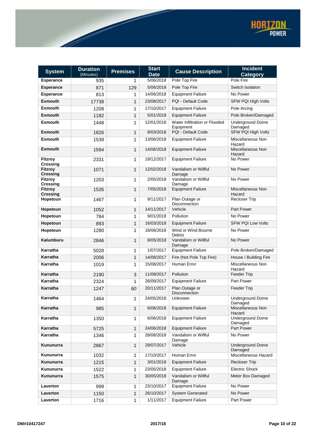

| <b>System</b>                     | <b>Duration</b><br>(Minutes) | <b>Premises</b> | <b>Start</b><br><b>Date</b> | <b>Cause Description</b>                   | <b>Incident</b><br><b>Category</b> |
|-----------------------------------|------------------------------|-----------------|-----------------------------|--------------------------------------------|------------------------------------|
| <b>Esperance</b>                  | 935                          | 1               | 5/06/2018                   | Pole Top Fire                              | Pole Fire                          |
| <b>Esperance</b>                  | 871                          | 129             | 5/06/2018                   | Pole Top Fire                              | Switch Isolation                   |
| <b>Esperance</b>                  | 813                          | 1               | 14/06/2018                  | <b>Equipment Failure</b>                   | No Power                           |
| <b>Exmouth</b>                    | 17738                        | 1               | 23/08/2017                  | PQI - Default Code                         | SFW PQI High Volts                 |
| <b>Exmouth</b>                    | 1208                         | 1               | 17/10/2017                  | <b>Equipment Failure</b>                   | Pole Arcing                        |
| <b>Exmouth</b>                    | 1182                         | 1               | 5/01/2018                   | <b>Equipment Failure</b>                   | Pole Broken/Damaged                |
| <b>Exmouth</b>                    | 1448                         | 1               | 12/01/2018                  | Water Infiltration or Flooded<br>Equipment | <b>Underground Dome</b><br>Damaged |
| <b>Exmouth</b>                    | 1826                         | $\mathbf{1}$    | 8/03/2018                   | PQI - Default Code                         | SFW PQI High Volts                 |
| <b>Exmouth</b>                    | 1539                         | 1               | 13/06/2018                  | <b>Equipment Failure</b>                   | Miscellaneous Non<br>Hazard        |
| <b>Exmouth</b>                    | 1594                         | $\mathbf{1}$    | 14/06/2018                  | <b>Equipment Failure</b>                   | Miscellaneous Non<br>Hazard        |
| <b>Fitzroy</b><br><b>Crossing</b> | 2331                         | 1               | 19/12/2017                  | <b>Equipment Failure</b>                   | No Power                           |
| Fitzroy<br><b>Crossing</b>        | 1071                         | 1               | 12/02/2018                  | Vandalism or Willful<br>Damage             | No Power                           |
| <b>Fitzroy</b><br><b>Crossing</b> | 1203                         | 1               | 2/05/2018                   | Vandalism or Willful<br>Damage             | No Power                           |
| <b>Fitzrov</b><br><b>Crossing</b> | 1535                         | 1               | 7/05/2018                   | <b>Equipment Failure</b>                   | Miscellaneous Non<br>Hazard        |
| Hopetoun                          | 1467                         | 1               | 9/11/2017                   | Plan Outage or<br><b>Disconnection</b>     | <b>Recloser Trip</b>               |
| Hopetoun                          | 1052                         | $\mathbf{1}$    | 14/11/2017                  | Vehicle                                    | Part Power                         |
| Hopetoun                          | 784                          | 1               | 9/01/2018                   | Pollution                                  | No Power                           |
| Hopetoun                          | 893                          | 1               | 16/03/2018                  | <b>Equipment Failure</b>                   | <b>SFW PQI Low Volts</b>           |
| Hopetoun                          | 1280                         | 1               | 18/06/2018                  | Wind or Wind Bourne<br>Debris              | No Power                           |
| Kalumburu                         | 2846                         | 1               | 8/05/2018                   | Vandalism or Willful<br>Damage             | No Power                           |
| Karratha<br><b>Karratha</b>       | 5028                         | 1               | 1/07/2017                   | <b>Equipment Failure</b>                   | Pole Broken/Damaged                |
|                                   | 2006                         | $\mathbf{1}$    | 14/08/2017                  | Fire (Not Pole Top Fire)                   | House / Building Fire              |
| Karratha                          | 1019                         | 1               | 15/08/2017                  | Human Error                                | Miscellaneous Non<br>Hazard        |
| Karratha                          | 2190                         | 3               | 11/09/2017                  | <b>Pollution</b>                           | Feeder Trip                        |
| Karratha                          | 2324                         | 1               | 26/09/2017                  | <b>Equipment Failure</b>                   | Part Power                         |
| Karratha                          | 1247                         | 60              | 20/11/2017                  | Plan Outage or<br>Disconnection            | <b>Feeder Trip</b>                 |
| Karratha                          | 1464                         | 1               | 24/05/2018                  | Unknown                                    | <b>Underground Dome</b><br>Damaged |
| Karratha                          | 985                          | $\mathbf{1}$    | 6/06/2018                   | <b>Equipment Failure</b>                   | Miscellaneous Non<br>Hazard        |
| Karratha                          | 1350                         | 1               | 6/06/2018                   | <b>Equipment Failure</b>                   | Underground Dome<br>Damaged        |
| Karratha                          | 5725                         | $\mathbf{1}$    | 24/06/2018                  | <b>Equipment Failure</b>                   | Part Power                         |
| Karratha                          | 1346                         | 1               | 28/06/2018                  | Vandalism or Willful<br>Damage             | No Power                           |
| <b>Kununurra</b>                  | 2867                         | 1               | 29/07/2017                  | Vehicle                                    | <b>Underground Dome</b><br>Damaged |
| Kununurra                         | 1032                         | 1               | 17/10/2017                  | Human Error                                | Miscellaneous Hazard               |
| Kununurra                         | 1215                         | $\mathbf{1}$    | 3/01/2018                   | <b>Equipment Failure</b>                   | <b>Recloser Trip</b>               |
| Kununurra                         | 1522                         | 1               | 23/05/2018                  | <b>Equipment Failure</b>                   | <b>Electric Shock</b>              |
| Kununurra                         | 1575                         | 1               | 30/05/2018                  | Vandalism or Willful<br>Damage             | Meter Box Damaged                  |
| Laverton                          | 999                          | 1               | 23/10/2017                  | <b>Equipment Failure</b>                   | No Power                           |
| Laverton                          | 1150                         | $\mathbf{1}$    | 26/10/2017                  | System Generated                           | No Power                           |
| Laverton                          | 1716                         | 1               | 1/11/2017                   | <b>Equipment Failure</b>                   | Part Power                         |

 $\overline{\mathscr{M}}$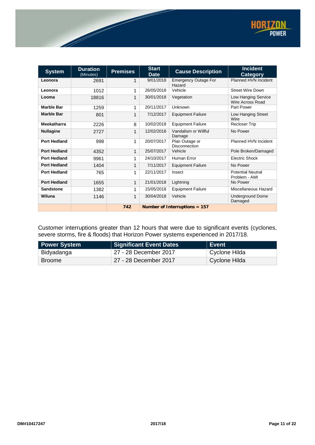

| <b>System</b>       | <b>Duration</b><br>(Minutes) | <b>Premises</b> | <b>Start</b><br><b>Date</b> | <b>Cause Description</b>               | <b>Incident</b><br><b>Category</b>        |
|---------------------|------------------------------|-----------------|-----------------------------|----------------------------------------|-------------------------------------------|
| Leonora             | 2691                         | 1               | 9/01/2018                   | <b>Emergency Outage For</b><br>Hazard  | Planned HVN Incident                      |
| Leonora             | 1012                         | 1               | 26/05/2018                  | Vehicle                                | <b>Street Wire Down</b>                   |
| Looma               | 18816                        | 1               | 30/01/2018                  | Vegetation                             | Low Hanging Service<br>Wire Across Road   |
| <b>Marble Bar</b>   | 1259                         | 1               | 20/11/2017                  | Unknown                                | Part Power                                |
| <b>Marble Bar</b>   | 801                          | 1               | 7/12/2017                   | <b>Equipment Failure</b>               | Low Hanging Street<br>Wire                |
| Meekatharra         | 2226                         | 8               | 10/02/2018                  | <b>Equipment Failure</b>               | <b>Recloser Trip</b>                      |
| <b>Nullagine</b>    | 2727                         | 1               | 12/02/2018                  | Vandalism or Willful<br>Damage         | No Power                                  |
| <b>Port Hedland</b> | 998                          | 1               | 20/07/2017                  | Plan Outage or<br><b>Disconnection</b> | Planned HVN Incident                      |
| <b>Port Hedland</b> | 4352                         | 1               | 25/07/2017                  | Vehicle                                | Pole Broken/Damaged                       |
| <b>Port Hedland</b> | 9961                         | 1               | 24/10/2017                  | Human Error                            | <b>Electric Shock</b>                     |
| <b>Port Hedland</b> | 1404                         | 1               | 7/11/2017                   | <b>Equipment Failure</b>               | No Power                                  |
| <b>Port Hedland</b> | 765                          | 1               | 22/11/2017                  | Insect                                 | <b>Potential Neutral</b><br>Problem - AMI |
| <b>Port Hedland</b> | 1655                         | 1               | 21/01/2018                  | Lightning                              | No Power                                  |
| <b>Sandstone</b>    | 1382                         | 1               | 15/05/2018                  | <b>Equipment Failure</b>               | Miscellaneous Hazard                      |
| Wiluna              | 1146                         | 1               | 30/04/2018                  | Vehicle                                | <b>Underground Dome</b><br>Damaged        |
|                     |                              | 742             |                             | Number of Interruptions $= 157$        |                                           |

Customer interruptions greater than 12 hours that were due to significant events (cyclones, severe storms, fire & floods) that Horizon Power systems experienced in 2017/18.

| Power System  | <b>Significant Event Dates</b> | ∣ Event∶      |
|---------------|--------------------------------|---------------|
| Bidyadanga    | 27 - 28 December 2017          | Cyclone Hilda |
| <b>Broome</b> | 27 - 28 December 2017          | Cyclone Hilda |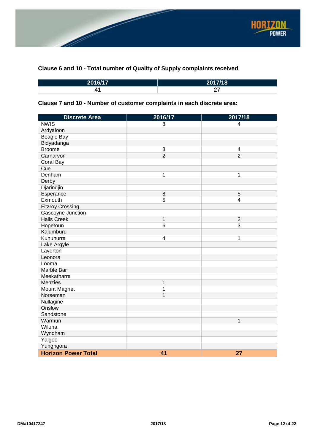

# **Clause 6 and 10 - Total number of Quality of Supply complaints received**

| 2016/17 | 2017/18 |
|---------|---------|
|         | - -     |

# <span id="page-11-0"></span>**Clause 7 and 10 - Number of customer complaints in each discrete area:**

| <b>Discrete Area</b>       | 2016/17         | 2017/18                 |
|----------------------------|-----------------|-------------------------|
| <b>NWIS</b>                | 8               | 4                       |
| Ardyaloon                  |                 |                         |
| Beagle Bay                 |                 |                         |
| Bidyadanga                 |                 |                         |
| <b>Broome</b>              | $\overline{3}$  | $\overline{\mathbf{4}}$ |
| Carnarvon                  | $\overline{2}$  | $\overline{2}$          |
| Coral Bay                  |                 |                         |
| Cue                        |                 |                         |
| Denham                     | 1               | 1                       |
| Derby                      |                 |                         |
| Djarindjin                 |                 |                         |
| Esperance                  | $\,8\,$         | 5                       |
| Exmouth                    | 5               | $\overline{4}$          |
| <b>Fitzroy Crossing</b>    |                 |                         |
| Gascoyne Junction          |                 |                         |
| <b>Halls Creek</b>         | $\mathbf 1$     | $\overline{2}$          |
| Hopetoun                   | $6\phantom{1}6$ | 3                       |
| Kalumburu                  |                 |                         |
| Kununurra                  | 4               | 1                       |
| Lake Argyle                |                 |                         |
| Laverton                   |                 |                         |
| Leonora                    |                 |                         |
| Looma                      |                 |                         |
| Marble Bar                 |                 |                         |
| Meekatharra                |                 |                         |
| Menzies                    | $\mathbf 1$     |                         |
| Mount Magnet               | 1               |                         |
| Norseman                   | $\mathbf{1}$    |                         |
| Nullagine                  |                 |                         |
| Onslow                     |                 |                         |
| Sandstone                  |                 |                         |
| Warmun                     |                 | $\mathbf{1}$            |
| Wiluna                     |                 |                         |
| Wyndham                    |                 |                         |
| Yalgoo                     |                 |                         |
| Yungngora                  |                 |                         |
| <b>Horizon Power Total</b> | 41              | 27                      |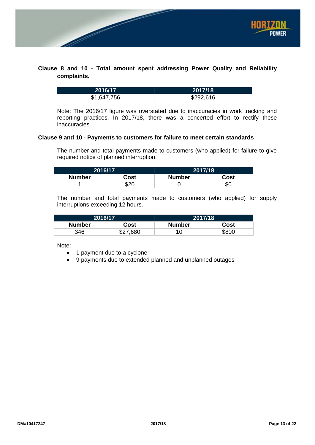

#### <span id="page-12-0"></span>**Clause 8 and 10 - Total amount spent addressing Power Quality and Reliability complaints.**

| 2016/17     | 2017/18   |
|-------------|-----------|
| \$1,647,756 | \$292,616 |

Note: The 2016/17 figure was overstated due to inaccuracies in work tracking and reporting practices. In 2017/18, there was a concerted effort to rectify these inaccuracies.

#### <span id="page-12-1"></span>**Clause 9 and 10 - Payments to customers for failure to meet certain standards**

The number and total payments made to customers (who applied) for failure to give required notice of planned interruption.

| 2016/17       |      | 2017/18       |      |
|---------------|------|---------------|------|
| <b>Number</b> | Cost | <b>Number</b> | Cost |
|               | \$20 |               | \$0  |

The number and total payments made to customers (who applied) for supply interruptions exceeding 12 hours.

|               | 2016/17  | 2017/18       |       |
|---------------|----------|---------------|-------|
| <b>Number</b> | Cost     | <b>Number</b> | Cost  |
| 346           | \$27,680 |               | \$800 |

Note:

- 1 payment due to a cyclone
- 9 payments due to extended planned and unplanned outages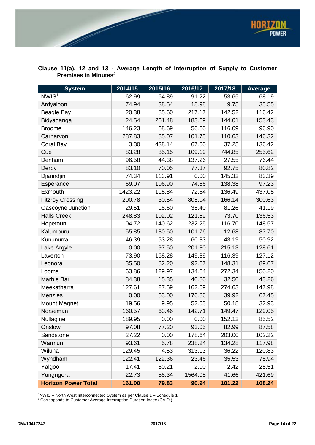

<span id="page-13-0"></span>

| Clause 11(a), 12 and 13 - Average Length of Interruption of Supply to Customer |  |  |  |  |
|--------------------------------------------------------------------------------|--|--|--|--|
| <b>Premises in Minutes<sup>2</sup></b>                                         |  |  |  |  |

D

| <b>System</b>              | 2014/15 | 2015/16 | 2016/17 | 2017/18 | <b>Average</b> |
|----------------------------|---------|---------|---------|---------|----------------|
| NWIS <sup>1</sup>          | 62.99   | 64.89   | 91.22   | 53.65   | 68.19          |
| Ardyaloon                  | 74.94   | 38.54   | 18.98   | 9.75    | 35.55          |
| Beagle Bay                 | 20.38   | 85.60   | 217.17  | 142.52  | 116.42         |
| Bidyadanga                 | 24.54   | 261.48  | 183.69  | 144.01  | 153.43         |
| <b>Broome</b>              | 146.23  | 68.69   | 56.60   | 116.09  | 96.90          |
| Carnarvon                  | 287.83  | 85.07   | 101.75  | 110.63  | 146.32         |
| Coral Bay                  | 3.30    | 438.14  | 67.00   | 37.25   | 136.42         |
| Cue                        | 83.28   | 85.15   | 109.19  | 744.85  | 255.62         |
| Denham                     | 96.58   | 44.38   | 137.26  | 27.55   | 76.44          |
| Derby                      | 83.10   | 70.05   | 77.37   | 92.75   | 80.82          |
| Djarindjin                 | 74.34   | 113.91  | 0.00    | 145.32  | 83.39          |
| Esperance                  | 69.07   | 106.90  | 74.56   | 138.38  | 97.23          |
| Exmouth                    | 1423.22 | 115.84  | 72.64   | 136.49  | 437.05         |
| <b>Fitzroy Crossing</b>    | 200.78  | 30.54   | 805.04  | 166.14  | 300.63         |
| Gascoyne Junction          | 29.51   | 18.60   | 35.40   | 81.26   | 41.19          |
| <b>Halls Creek</b>         | 248.83  | 102.02  | 121.59  | 73.70   | 136.53         |
| Hopetoun                   | 104.72  | 140.62  | 232.25  | 116.70  | 148.57         |
| Kalumburu                  | 55.85   | 180.50  | 101.76  | 12.68   | 87.70          |
| Kununurra                  | 46.39   | 53.28   | 60.83   | 43.19   | 50.92          |
| Lake Argyle                | 0.00    | 97.50   | 201.80  | 215.13  | 128.61         |
| Laverton                   | 73.90   | 168.28  | 149.89  | 116.39  | 127.12         |
| Leonora                    | 35.50   | 82.20   | 92.67   | 148.31  | 89.67          |
| Looma                      | 63.86   | 129.97  | 134.64  | 272.34  | 150.20         |
| Marble Bar                 | 84.38   | 15.35   | 40.80   | 32.50   | 43.26          |
| Meekatharra                | 127.61  | 27.59   | 162.09  | 274.63  | 147.98         |
| Menzies                    | 0.00    | 53.00   | 176.86  | 39.92   | 67.45          |
| Mount Magnet               | 19.56   | 9.95    | 52.03   | 50.18   | 32.93          |
| Norseman                   | 160.57  | 63.46   | 142.71  | 149.47  | 129.05         |
| Nullagine                  | 189.95  | 0.00    | 0.00    | 152.12  | 85.52          |
| Onslow                     | 97.08   | 77.20   | 93.05   | 82.99   | 87.58          |
| Sandstone                  | 27.22   | 0.00    | 178.64  | 203.00  | 102.22         |
| Warmun                     | 93.61   | 5.78    | 238.24  | 134.28  | 117.98         |
| Wiluna                     | 129.45  | 4.53    | 313.13  | 36.22   | 120.83         |
| Wyndham                    | 122.41  | 122.36  | 23.46   | 35.53   | 75.94          |
| Yalgoo                     | 17.41   | 80.21   | 2.00    | 2.42    | 25.51          |
| Yungngora                  | 22.73   | 58.34   | 1564.05 | 41.66   | 421.69         |
| <b>Horizon Power Total</b> | 161.00  | 79.83   | 90.94   | 101.22  | 108.24         |

1 NWIS – North West Interconnected System as per Clause 1 – Schedule 1 <sup>2</sup> Corresponds to Customer Average Interruption Duration Index (CAIDI)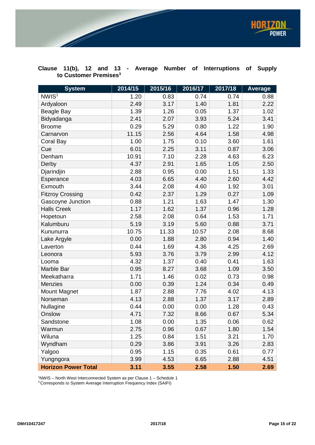

# <span id="page-14-0"></span>**Clause 11(b), 12 and 13 - Average Number of Interruptions of Supply to Customer Premises3**

| <b>System</b>              | 2014/15 | 2015/16 | 2016/17 | 2017/18 | <b>Average</b> |
|----------------------------|---------|---------|---------|---------|----------------|
| NWIS <sup>1</sup>          | 1.20    | 0.83    | 0.74    | 0.74    | 0.88           |
| Ardyaloon                  | 2.49    | 3.17    | 1.40    | 1.81    | 2.22           |
| Beagle Bay                 | 1.39    | 1.26    | 0.05    | 1.37    | 1.02           |
| Bidyadanga                 | 2.41    | 2.07    | 3.93    | 5.24    | 3.41           |
| <b>Broome</b>              | 0.29    | 5.29    | 0.80    | 1.22    | 1.90           |
| Carnarvon                  | 11.15   | 2.56    | 4.64    | 1.58    | 4.98           |
| Coral Bay                  | 1.00    | 1.75    | 0.10    | 3.60    | 1.61           |
| Cue                        | 6.01    | 2.25    | 3.11    | 0.87    | 3.06           |
| Denham                     | 10.91   | 7.10    | 2.28    | 4.63    | 6.23           |
| Derby                      | 4.37    | 2.91    | 1.65    | 1.05    | 2.50           |
| Djarindjin                 | 2.88    | 0.95    | 0.00    | 1.51    | 1.33           |
| Esperance                  | 4.03    | 6.65    | 4.40    | 2.60    | 4.42           |
| Exmouth                    | 3.44    | 2.08    | 4.60    | 1.92    | 3.01           |
| <b>Fitzroy Crossing</b>    | 0.42    | 2.37    | 1.29    | 0.27    | 1.09           |
| Gascoyne Junction          | 0.88    | 1.21    | 1.63    | 1.47    | 1.30           |
| <b>Halls Creek</b>         | 1.17    | 1.62    | 1.37    | 0.96    | 1.28           |
| Hopetoun                   | 2.58    | 2.08    | 0.64    | 1.53    | 1.71           |
| Kalumburu                  | 5.19    | 3.19    | 5.60    | 0.88    | 3.71           |
| Kununurra                  | 10.75   | 11.33   | 10.57   | 2.08    | 8.68           |
| Lake Argyle                | 0.00    | 1.88    | 2.80    | 0.94    | 1.40           |
| Laverton                   | 0.44    | 1.69    | 4.36    | 4.25    | 2.69           |
| Leonora                    | 5.93    | 3.76    | 3.79    | 2.99    | 4.12           |
| Looma                      | 4.32    | 1.37    | 0.40    | 0.41    | 1.63           |
| Marble Bar                 | 0.95    | 8.27    | 3.68    | 1.09    | 3.50           |
| Meekatharra                | 1.71    | 1.46    | 0.02    | 0.73    | 0.98           |
| Menzies                    | 0.00    | 0.39    | 1.24    | 0.34    | 0.49           |
| <b>Mount Magnet</b>        | 1.87    | 2.88    | 7.76    | 4.02    | 4.13           |
| Norseman                   | 4.13    | 2.88    | 1.37    | 3.17    | 2.89           |
| Nullagine                  | 0.44    | 0.00    | 0.00    | 1.28    | 0.43           |
| Onslow                     | 4.71    | 7.32    | 8.66    | 0.67    | 5.34           |
| Sandstone                  | 1.08    | 0.00    | 1.35    | 0.06    | 0.62           |
| Warmun                     | 2.75    | 0.96    | 0.67    | 1.80    | 1.54           |
| Wiluna                     | 1.25    | 0.84    | 1.51    | 3.21    | 1.70           |
| Wyndham                    | 0.29    | 3.86    | 3.91    | 3.26    | 2.83           |
| Yalgoo                     | 0.95    | 1.15    | 0.35    | 0.61    | 0.77           |
| Yungngora                  | 3.99    | 4.53    | 6.65    | 2.88    | 4.51           |
| <b>Horizon Power Total</b> | 3.11    | 3.55    | 2.58    | 1.50    | 2.69           |

1 NWIS – North West Interconnected System as per Clause 1 – Schedule 1 <sup>3</sup> Corresponds to System Average Interruption Frequency Index (SAIFI)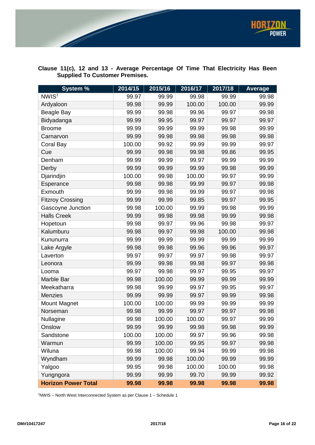

<span id="page-15-0"></span>**Clause 11(c), 12 and 13 - Average Percentage Of Time That Electricity Has Been Supplied To Customer Premises.**

z

| <b>System %</b>            | 2014/15 | 2015/16 | 2016/17 | 2017/18 | <b>Average</b> |
|----------------------------|---------|---------|---------|---------|----------------|
| NWIS <sup>1</sup>          | 99.97   | 99.99   | 99.98   | 99.99   | 99.98          |
| Ardyaloon                  | 99.98   | 99.99   | 100.00  | 100.00  | 99.99          |
| Beagle Bay                 | 99.99   | 99.98   | 99.96   | 99.97   | 99.98          |
| Bidyadanga                 | 99.99   | 99.95   | 99.97   | 99.97   | 99.97          |
| <b>Broome</b>              | 99.99   | 99.99   | 99.99   | 99.98   | 99.99          |
| Carnarvon                  | 99.99   | 99.98   | 99.98   | 99.98   | 99.98          |
| Coral Bay                  | 100.00  | 99.92   | 99.99   | 99.99   | 99.97          |
| Cue                        | 99.99   | 99.98   | 99.98   | 99.86   | 99.95          |
| Denham                     | 99.99   | 99.99   | 99.97   | 99.99   | 99.99          |
| Derby                      | 99.99   | 99.99   | 99.99   | 99.98   | 99.99          |
| Djarindjin                 | 100.00  | 99.98   | 100.00  | 99.97   | 99.99          |
| Esperance                  | 99.98   | 99.98   | 99.99   | 99.97   | 99.98          |
| Exmouth                    | 99.99   | 99.98   | 99.99   | 99.97   | 99.98          |
| <b>Fitzroy Crossing</b>    | 99.99   | 99.99   | 99.85   | 99.97   | 99.95          |
| Gascoyne Junction          | 99.98   | 100.00  | 99.99   | 99.98   | 99.99          |
| <b>Halls Creek</b>         | 99.99   | 99.98   | 99.98   | 99.99   | 99.98          |
| Hopetoun                   | 99.98   | 99.97   | 99.96   | 99.98   | 99.97          |
| Kalumburu                  | 99.98   | 99.97   | 99.98   | 100.00  | 99.98          |
| Kununurra                  | 99.99   | 99.99   | 99.99   | 99.99   | 99.99          |
| Lake Argyle                | 99.98   | 99.98   | 99.96   | 99.96   | 99.97          |
| Laverton                   | 99.97   | 99.97   | 99.97   | 99.98   | 99.97          |
| Leonora                    | 99.99   | 99.98   | 99.98   | 99.97   | 99.98          |
| Looma                      | 99.97   | 99.98   | 99.97   | 99.95   | 99.97          |
| Marble Bar                 | 99.98   | 100.00  | 99.99   | 99.99   | 99.99          |
| Meekatharra                | 99.98   | 99.99   | 99.97   | 99.95   | 99.97          |
| Menzies                    | 99.99   | 99.99   | 99.97   | 99.99   | 99.98          |
| Mount Magnet               | 100.00  | 100.00  | 99.99   | 99.99   | 99.99          |
| Norseman                   | 99.98   | 99.99   | 99.97   | 99.97   | 99.98          |
| Nullagine                  | 99.98   | 100.00  | 100.00  | 99.97   | 99.99          |
| Onslow                     | 99.99   | 99.99   | 99.98   | 99.98   | 99.99          |
| Sandstone                  | 100.00  | 100.00  | 99.97   | 99.96   | 99.98          |
| Warmun                     | 99.99   | 100.00  | 99.95   | 99.97   | 99.98          |
| Wiluna                     | 99.98   | 100.00  | 99.94   | 99.99   | 99.98          |
| Wyndham                    | 99.99   | 99.98   | 100.00  | 99.99   | 99.99          |
| Yalgoo                     | 99.95   | 99.98   | 100.00  | 100.00  | 99.98          |
| Yungngora                  | 99.99   | 99.99   | 99.70   | 99.99   | 99.92          |
| <b>Horizon Power Total</b> | 99.98   | 99.98   | 99.98   | 99.98   | 99.98          |

1 NWIS – North West Interconnected System as per Clause 1 – Schedule 1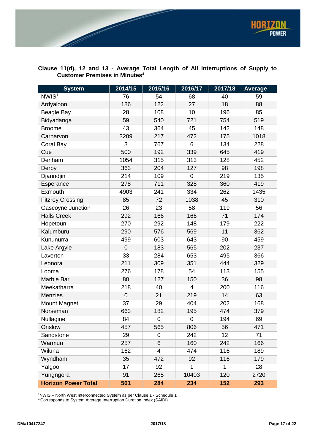

#### <span id="page-16-0"></span>**Clause 11(d), 12 and 13 - Average Total Length of All Interruptions of Supply to Customer Premises in Minutes4**

| <b>System</b>              | 2014/15     | 2015/16        | 2016/17                 | 2017/18 | Average |
|----------------------------|-------------|----------------|-------------------------|---------|---------|
| NWIS <sup>1</sup>          | 76          | 54             | 68                      | 40      | 59      |
| Ardyaloon                  | 186         | 122            | 27                      | 18      | 88      |
| Beagle Bay                 | 28          | 108            | 10                      | 196     | 85      |
| Bidyadanga                 | 59          | 540            | 721                     | 754     | 519     |
| <b>Broome</b>              | 43          | 364            | 45                      | 142     | 148     |
| Carnarvon                  | 3209        | 217            | 472                     | 175     | 1018    |
| Coral Bay                  | 3           | 767            | 6                       | 134     | 228     |
| Cue                        | 500         | 192            | 339                     | 645     | 419     |
| Denham                     | 1054        | 315            | 313                     | 128     | 452     |
| Derby                      | 363         | 204            | 127                     | 98      | 198     |
| Djarindjin                 | 214         | 109            | $\overline{0}$          | 219     | 135     |
| Esperance                  | 278         | 711            | 328                     | 360     | 419     |
| Exmouth                    | 4903        | 241            | 334                     | 262     | 1435    |
| <b>Fitzroy Crossing</b>    | 85          | 72             | 1038                    | 45      | 310     |
| Gascoyne Junction          | 26          | 23             | 58                      | 119     | 56      |
| <b>Halls Creek</b>         | 292         | 166            | 166                     | 71      | 174     |
| Hopetoun                   | 270         | 292            | 148                     | 179     | 222     |
| Kalumburu                  | 290         | 576            | 569                     | 11      | 362     |
| Kununurra                  | 499         | 603            | 643                     | 90      | 459     |
| Lake Argyle                | $\mathbf 0$ | 183            | 565                     | 202     | 237     |
| Laverton                   | 33          | 284            | 653                     | 495     | 366     |
| Leonora                    | 211         | 309            | 351                     | 444     | 329     |
| Looma                      | 276         | 178            | 54                      | 113     | 155     |
| Marble Bar                 | 80          | 127            | 150                     | 36      | 98      |
| Meekatharra                | 218         | 40             | $\overline{\mathbf{4}}$ | 200     | 116     |
| <b>Menzies</b>             | $\mathbf 0$ | 21             | 219                     | 14      | 63      |
| Mount Magnet               | 37          | 29             | 404                     | 202     | 168     |
| Norseman                   | 663         | 182            | 195                     | 474     | 379     |
| Nullagine                  | 84          | $\mathbf 0$    | $\mathbf 0$             | 194     | 69      |
| Onslow                     | 457         | 565            | 806                     | 56      | 471     |
| Sandstone                  | 29          | 0              | 242                     | 12      | 71      |
| Warmun                     | 257         | 6              | 160                     | 242     | 166     |
| Wiluna                     | 162         | $\overline{4}$ | 474                     | 116     | 189     |
| Wyndham                    | 35          | 472            | 92                      | 116     | 179     |
| Yalgoo                     | 17          | 92             | 1                       | 1       | 28      |
| Yungngora                  | 91          | 265            | 10403                   | 120     | 2720    |
| <b>Horizon Power Total</b> | 501         | 284            | 234                     | 152     | 293     |

1 NWIS – North West Interconnected System as per Clause 1 - Schedule 1 <sup>4</sup> Corresponds to System Average Interruption Duration Index (SAIDI)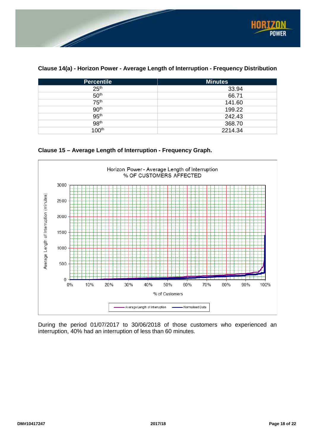

# <span id="page-17-0"></span>**Clause 14(a) - Horizon Power - Average Length of Interruption - Frequency Distribution**

| <b>Percentile</b> | <b>Minutes</b> |
|-------------------|----------------|
| 25 <sup>th</sup>  | 33.94          |
| 50 <sup>th</sup>  | 66.71          |
| 75 <sup>th</sup>  | 141.60         |
| 90 <sup>th</sup>  | 199.22         |
| 95 <sup>th</sup>  | 242.43         |
| 98 <sup>th</sup>  | 368.70         |
| 100 <sup>th</sup> | 2214.34        |

# <span id="page-17-1"></span>**Clause 15 – Average Length of Interruption - Frequency Graph.**



During the period 01/07/2017 to 30/06/2018 of those customers who experienced an interruption, 40% had an interruption of less than 60 minutes.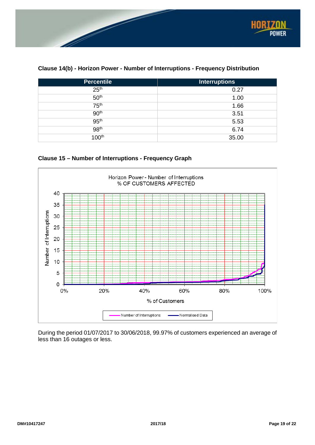

<span id="page-18-0"></span>

| Clause 14(b) - Horizon Power - Number of Interruptions - Frequency Distribution |               |
|---------------------------------------------------------------------------------|---------------|
| <b>Percentile</b>                                                               | Interruptions |

| <b>Percentile</b> | <b>Interruptions</b> |
|-------------------|----------------------|
| 25 <sup>th</sup>  | 0.27                 |
| 50 <sup>th</sup>  | 1.00                 |
| 75 <sup>th</sup>  | 1.66                 |
| 90 <sup>th</sup>  | 3.51                 |
| 95 <sup>th</sup>  | 5.53                 |
| 98 <sup>th</sup>  | 6.74                 |
| 100 <sup>th</sup> | 35.00                |

<span id="page-18-1"></span>



During the period 01/07/2017 to 30/06/2018, 99.97% of customers experienced an average of less than 16 outages or less.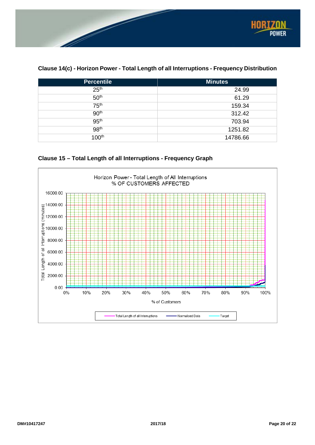

# <span id="page-19-0"></span>**Clause 14(c) - Horizon Power - Total Length of all Interruptions - Frequency Distribution**

| <b>Percentile</b> | Minutes  |  |
|-------------------|----------|--|
| 25 <sup>th</sup>  | 24.99    |  |
| 50 <sup>th</sup>  | 61.29    |  |
| 75 <sup>th</sup>  | 159.34   |  |
| 90 <sup>th</sup>  | 312.42   |  |
| 95 <sup>th</sup>  | 703.94   |  |
| 98 <sup>th</sup>  | 1251.82  |  |
| 100 <sup>th</sup> | 14786.66 |  |

<span id="page-19-1"></span>

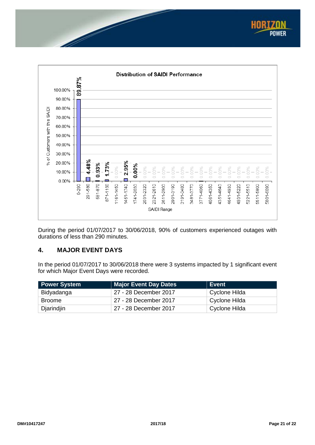



During the period 01/07/2017 to 30/06/2018, 90% of customers experienced outages with durations of less than 290 minutes.

#### <span id="page-20-0"></span>**4. MAJOR EVENT DAYS**

In the period 01/07/2017 to 30/06/2018 there were 3 systems impacted by 1 significant event for which Major Event Days were recorded.

| Power System  | Major Event Day Dates | ∣ Event       |
|---------------|-----------------------|---------------|
| Bidyadanga    | 27 - 28 December 2017 | Cyclone Hilda |
| <b>Broome</b> | 27 - 28 December 2017 | Cyclone Hilda |
| Djarindjin    | 27 - 28 December 2017 | Cyclone Hilda |